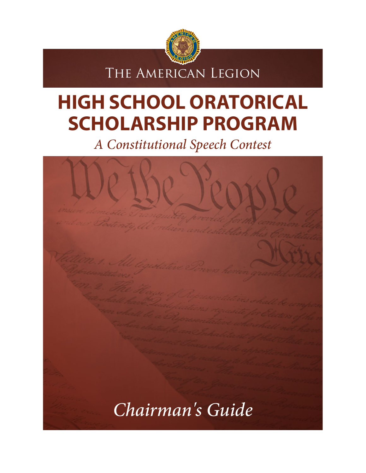

The American Legion

# **HIGH SCHOOL ORATORICAL SCHOLARSHIP PROGRAM**

*A Constitutional Speech Contest*

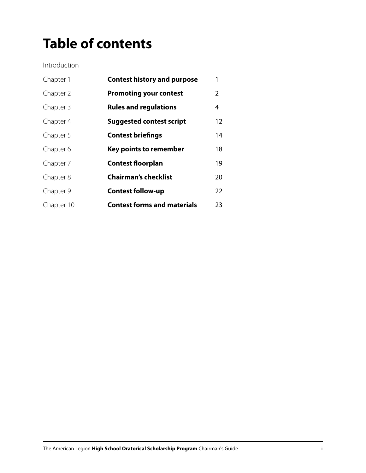# **Table of contents**

Introduction

| Chapter 1  | <b>Contest history and purpose</b> | 1  |
|------------|------------------------------------|----|
| Chapter 2  | <b>Promoting your contest</b>      | 2  |
| Chapter 3  | <b>Rules and regulations</b>       | 4  |
| Chapter 4  | <b>Suggested contest script</b>    | 12 |
| Chapter 5  | <b>Contest briefings</b>           | 14 |
| Chapter 6  | <b>Key points to remember</b>      | 18 |
| Chapter 7  | <b>Contest floorplan</b>           | 19 |
| Chapter 8  | <b>Chairman's checklist</b>        | 20 |
| Chapter 9  | <b>Contest follow-up</b>           | 22 |
| Chapter 10 | <b>Contest forms and materials</b> | 23 |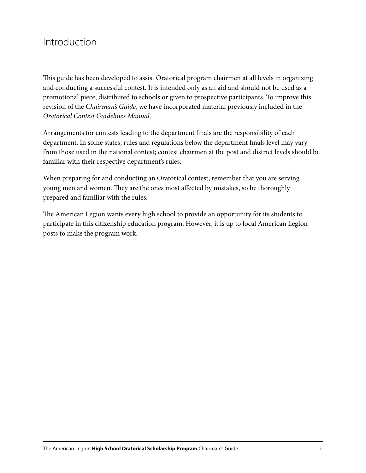#### Introduction

This guide has been developed to assist Oratorical program chairmen at all levels in organizing and conducting a successful contest. It is intended only as an aid and should not be used as a promotional piece, distributed to schools or given to prospective participants. To improve this revision of the *Chairman's Guide*, we have incorporated material previously included in the *Oratorical Contest Guidelines Manual*.

Arrangements for contests leading to the department finals are the responsibility of each department. In some states, rules and regulations below the department finals level may vary from those used in the national contest; contest chairmen at the post and district levels should be familiar with their respective department's rules.

When preparing for and conducting an Oratorical contest, remember that you are serving young men and women. They are the ones most affected by mistakes, so be thoroughly prepared and familiar with the rules.

The American Legion wants every high school to provide an opportunity for its students to participate in this citizenship education program. However, it is up to local American Legion posts to make the program work.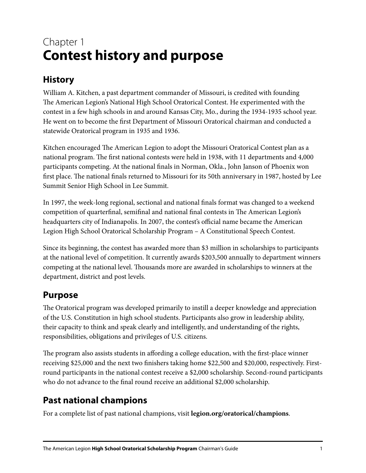# Chapter 1 **Contest history and purpose**

#### **History**

William A. Kitchen, a past department commander of Missouri, is credited with founding The American Legion's National High School Oratorical Contest. He experimented with the contest in a few high schools in and around Kansas City, Mo., during the 1934-1935 school year. He went on to become the first Department of Missouri Oratorical chairman and conducted a statewide Oratorical program in 1935 and 1936.

Kitchen encouraged The American Legion to adopt the Missouri Oratorical Contest plan as a national program. The first national contests were held in 1938, with 11 departments and 4,000 participants competing. At the national finals in Norman, Okla., John Janson of Phoenix won first place. The national finals returned to Missouri for its 50th anniversary in 1987, hosted by Lee Summit Senior High School in Lee Summit.

In 1997, the week-long regional, sectional and national finals format was changed to a weekend competition of quarterfinal, semifinal and national final contests in The American Legion's headquarters city of Indianapolis. In 2007, the contest's official name became the American Legion High School Oratorical Scholarship Program – A Constitutional Speech Contest.

Since its beginning, the contest has awarded more than \$3 million in scholarships to participants at the national level of competition. It currently awards \$203,500 annually to department winners competing at the national level. Thousands more are awarded in scholarships to winners at the department, district and post levels.

#### **Purpose**

The Oratorical program was developed primarily to instill a deeper knowledge and appreciation of the U.S. Constitution in high school students. Participants also grow in leadership ability, their capacity to think and speak clearly and intelligently, and understanding of the rights, responsibilities, obligations and privileges of U.S. citizens.

The program also assists students in affording a college education, with the first-place winner receiving \$25,000 and the next two finishers taking home \$22,500 and \$20,000, respectively. Firstround participants in the national contest receive a \$2,000 scholarship. Second-round participants who do not advance to the final round receive an additional \$2,000 scholarship.

#### **Past national champions**

For a complete list of past national champions, visit **legion.org/oratorical/champions**.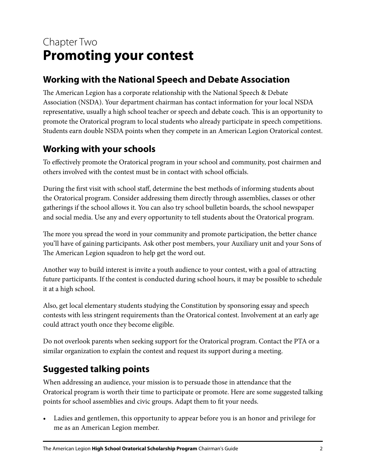# Chapter Two **Promoting your contest**

#### **Working with the National Speech and Debate Association**

The American Legion has a corporate relationship with the National Speech & Debate Association (NSDA). Your department chairman has contact information for your local NSDA representative, usually a high school teacher or speech and debate coach. This is an opportunity to promote the Oratorical program to local students who already participate in speech competitions. Students earn double NSDA points when they compete in an American Legion Oratorical contest.

#### **Working with your schools**

To effectively promote the Oratorical program in your school and community, post chairmen and others involved with the contest must be in contact with school officials.

During the first visit with school staff, determine the best methods of informing students about the Oratorical program. Consider addressing them directly through assemblies, classes or other gatherings if the school allows it. You can also try school bulletin boards, the school newspaper and social media. Use any and every opportunity to tell students about the Oratorical program.

The more you spread the word in your community and promote participation, the better chance you'll have of gaining participants. Ask other post members, your Auxiliary unit and your Sons of The American Legion squadron to help get the word out.

Another way to build interest is invite a youth audience to your contest, with a goal of attracting future participants. If the contest is conducted during school hours, it may be possible to schedule it at a high school.

Also, get local elementary students studying the Constitution by sponsoring essay and speech contests with less stringent requirements than the Oratorical contest. Involvement at an early age could attract youth once they become eligible.

Do not overlook parents when seeking support for the Oratorical program. Contact the PTA or a similar organization to explain the contest and request its support during a meeting.

#### **Suggested talking points**

When addressing an audience, your mission is to persuade those in attendance that the Oratorical program is worth their time to participate or promote. Here are some suggested talking points for school assemblies and civic groups. Adapt them to fit your needs.

• Ladies and gentlemen, this opportunity to appear before you is an honor and privilege for me as an American Legion member.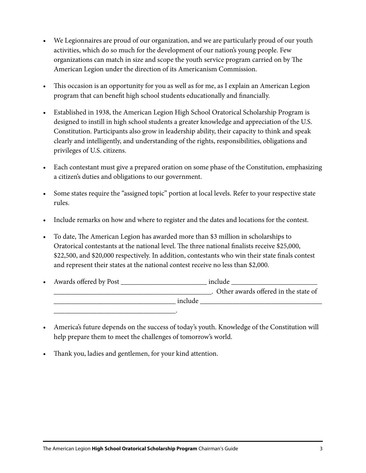- We Legionnaires are proud of our organization, and we are particularly proud of our youth activities, which do so much for the development of our nation's young people. Few organizations can match in size and scope the youth service program carried on by The American Legion under the direction of its Americanism Commission.
- This occasion is an opportunity for you as well as for me, as I explain an American Legion program that can benefit high school students educationally and financially.
- Established in 1938, the American Legion High School Oratorical Scholarship Program is designed to instill in high school students a greater knowledge and appreciation of the U.S. Constitution. Participants also grow in leadership ability, their capacity to think and speak clearly and intelligently, and understanding of the rights, responsibilities, obligations and privileges of U.S. citizens.
- Each contestant must give a prepared oration on some phase of the Constitution, emphasizing a citizen's duties and obligations to our government.
- Some states require the "assigned topic" portion at local levels. Refer to your respective state rules.
- Include remarks on how and where to register and the dates and locations for the contest.
- To date, The American Legion has awarded more than \$3 million in scholarships to Oratorical contestants at the national level. The three national finalists receive \$25,000, \$22,500, and \$20,000 respectively. In addition, contestants who win their state finals contest and represent their states at the national contest receive no less than \$2,000.
- Awards offered by Post \_\_\_\_\_\_\_\_\_\_\_\_\_\_\_\_\_\_\_\_\_\_\_\_ include \_\_\_\_\_\_\_\_\_\_\_\_\_\_\_\_\_\_\_\_\_\_\_\_ \_\_\_\_\_\_\_\_\_\_\_\_\_\_\_\_\_\_\_\_\_\_\_\_\_\_\_\_\_\_\_\_\_\_\_\_\_\_\_\_\_\_\_\_. Other awards offered in the state of  $\Box$  include \_\_\_\_\_\_\_\_\_\_\_\_\_\_\_\_\_\_\_\_\_\_\_\_\_\_\_\_\_\_\_\_\_\_.
- America's future depends on the success of today's youth. Knowledge of the Constitution will help prepare them to meet the challenges of tomorrow's world.
- Thank you, ladies and gentlemen, for your kind attention.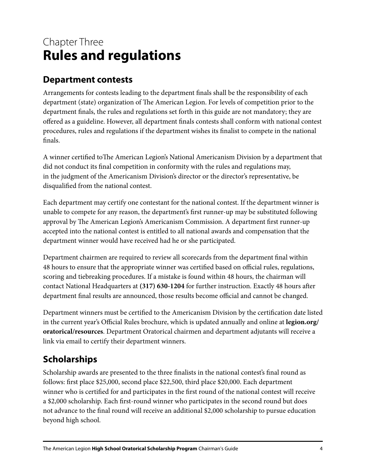# Chapter Three **Rules and regulations**

#### **Department contests**

Arrangements for contests leading to the department finals shall be the responsibility of each department (state) organization of The American Legion. For levels of competition prior to the department finals, the rules and regulations set forth in this guide are not mandatory; they are offered as a guideline. However, all department finals contests shall conform with national contest procedures, rules and regulations if the department wishes its finalist to compete in the national finals.

A winner certified toThe American Legion's National Americanism Division by a department that did not conduct its final competition in conformity with the rules and regulations may, in the judgment of the Americanism Division's director or the director's representative, be disqualified from the national contest.

Each department may certify one contestant for the national contest. If the department winner is unable to compete for any reason, the department's first runner-up may be substituted following approval by The American Legion's Americanism Commission. A department first runner-up accepted into the national contest is entitled to all national awards and compensation that the department winner would have received had he or she participated.

Department chairmen are required to review all scorecards from the department final within 48 hours to ensure that the appropriate winner was certified based on official rules, regulations, scoring and tiebreaking procedures. If a mistake is found within 48 hours, the chairman will contact National Headquarters at **(317) 630-1204** for further instruction. Exactly 48 hours after department final results are announced, those results become official and cannot be changed.

Department winners must be certified to the Americanism Division by the certification date listed in the current year's Official Rules brochure, which is updated annually and online at **legion.org/ oratorical/resources**. Department Oratorical chairmen and department adjutants will receive a link via email to certify their department winners.

#### **Scholarships**

Scholarship awards are presented to the three finalists in the national contest's final round as follows: first place \$25,000, second place \$22,500, third place \$20,000. Each department winner who is certified for and participates in the first round of the national contest will receive a \$2,000 scholarship. Each first-round winner who participates in the second round but does not advance to the final round will receive an additional \$2,000 scholarship to pursue education beyond high school.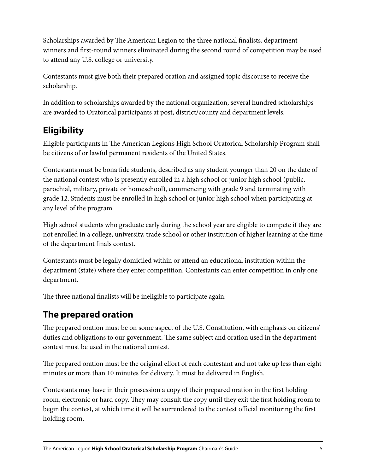Scholarships awarded by The American Legion to the three national finalists, department winners and first-round winners eliminated during the second round of competition may be used to attend any U.S. college or university.

Contestants must give both their prepared oration and assigned topic discourse to receive the scholarship.

In addition to scholarships awarded by the national organization, several hundred scholarships are awarded to Oratorical participants at post, district/county and department levels.

#### **Eligibility**

Eligible participants in The American Legion's High School Oratorical Scholarship Program shall be citizens of or lawful permanent residents of the United States.

Contestants must be bona fide students, described as any student younger than 20 on the date of the national contest who is presently enrolled in a high school or junior high school (public, parochial, military, private or homeschool), commencing with grade 9 and terminating with grade 12. Students must be enrolled in high school or junior high school when participating at any level of the program.

High school students who graduate early during the school year are eligible to compete if they are not enrolled in a college, university, trade school or other institution of higher learning at the time of the department finals contest.

Contestants must be legally domiciled within or attend an educational institution within the department (state) where they enter competition. Contestants can enter competition in only one department.

The three national finalists will be ineligible to participate again.

#### **The prepared oration**

The prepared oration must be on some aspect of the U.S. Constitution, with emphasis on citizens' duties and obligations to our government. The same subject and oration used in the department contest must be used in the national contest.

The prepared oration must be the original effort of each contestant and not take up less than eight minutes or more than 10 minutes for delivery. It must be delivered in English.

Contestants may have in their possession a copy of their prepared oration in the first holding room, electronic or hard copy. They may consult the copy until they exit the first holding room to begin the contest, at which time it will be surrendered to the contest official monitoring the first holding room.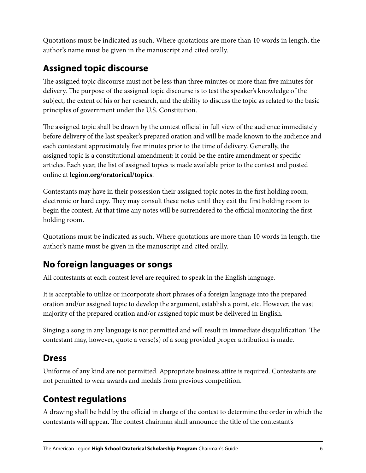Quotations must be indicated as such. Where quotations are more than 10 words in length, the author's name must be given in the manuscript and cited orally.

#### **Assigned topic discourse**

The assigned topic discourse must not be less than three minutes or more than five minutes for delivery. The purpose of the assigned topic discourse is to test the speaker's knowledge of the subject, the extent of his or her research, and the ability to discuss the topic as related to the basic principles of government under the U.S. Constitution.

The assigned topic shall be drawn by the contest official in full view of the audience immediately before delivery of the last speaker's prepared oration and will be made known to the audience and each contestant approximately five minutes prior to the time of delivery. Generally, the assigned topic is a constitutional amendment; it could be the entire amendment or specific articles. Each year, the list of assigned topics is made available prior to the contest and posted online at **legion.org/oratorical/topics**.

Contestants may have in their possession their assigned topic notes in the first holding room, electronic or hard copy. They may consult these notes until they exit the first holding room to begin the contest. At that time any notes will be surrendered to the official monitoring the first holding room.

Quotations must be indicated as such. Where quotations are more than 10 words in length, the author's name must be given in the manuscript and cited orally.

#### **No foreign languages or songs**

All contestants at each contest level are required to speak in the English language.

It is acceptable to utilize or incorporate short phrases of a foreign language into the prepared oration and/or assigned topic to develop the argument, establish a point, etc. However, the vast majority of the prepared oration and/or assigned topic must be delivered in English.

Singing a song in any language is not permitted and will result in immediate disqualification. The contestant may, however, quote a verse(s) of a song provided proper attribution is made.

#### **Dress**

Uniforms of any kind are not permitted. Appropriate business attire is required. Contestants are not permitted to wear awards and medals from previous competition.

#### **Contest regulations**

A drawing shall be held by the official in charge of the contest to determine the order in which the contestants will appear. The contest chairman shall announce the title of the contestant's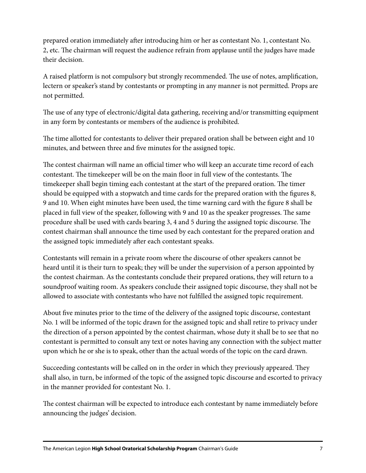prepared oration immediately after introducing him or her as contestant No. 1, contestant No. 2, etc. The chairman will request the audience refrain from applause until the judges have made their decision.

A raised platform is not compulsory but strongly recommended. The use of notes, amplification, lectern or speaker's stand by contestants or prompting in any manner is not permitted. Props are not permitted.

The use of any type of electronic/digital data gathering, receiving and/or transmitting equipment in any form by contestants or members of the audience is prohibited.

The time allotted for contestants to deliver their prepared oration shall be between eight and 10 minutes, and between three and five minutes for the assigned topic.

The contest chairman will name an official timer who will keep an accurate time record of each contestant. The timekeeper will be on the main floor in full view of the contestants. The timekeeper shall begin timing each contestant at the start of the prepared oration. The timer should be equipped with a stopwatch and time cards for the prepared oration with the figures 8, 9 and 10. When eight minutes have been used, the time warning card with the figure 8 shall be placed in full view of the speaker, following with 9 and 10 as the speaker progresses. The same procedure shall be used with cards bearing 3, 4 and 5 during the assigned topic discourse. The contest chairman shall announce the time used by each contestant for the prepared oration and the assigned topic immediately after each contestant speaks.

Contestants will remain in a private room where the discourse of other speakers cannot be heard until it is their turn to speak; they will be under the supervision of a person appointed by the contest chairman. As the contestants conclude their prepared orations, they will return to a soundproof waiting room. As speakers conclude their assigned topic discourse, they shall not be allowed to associate with contestants who have not fulfilled the assigned topic requirement.

About five minutes prior to the time of the delivery of the assigned topic discourse, contestant No. 1 will be informed of the topic drawn for the assigned topic and shall retire to privacy under the direction of a person appointed by the contest chairman, whose duty it shall be to see that no contestant is permitted to consult any text or notes having any connection with the subject matter upon which he or she is to speak, other than the actual words of the topic on the card drawn.

Succeeding contestants will be called on in the order in which they previously appeared. They shall also, in turn, be informed of the topic of the assigned topic discourse and escorted to privacy in the manner provided for contestant No. 1.

The contest chairman will be expected to introduce each contestant by name immediately before announcing the judges' decision.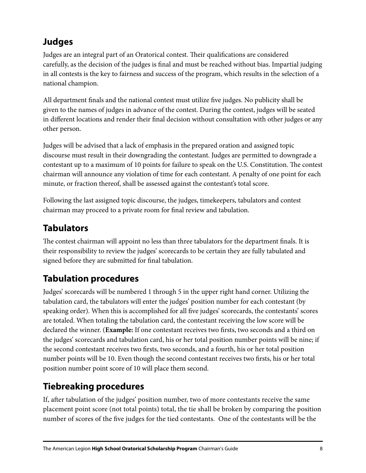#### **Judges**

Judges are an integral part of an Oratorical contest. Their qualifications are considered carefully, as the decision of the judges is final and must be reached without bias. Impartial judging in all contests is the key to fairness and success of the program, which results in the selection of a national champion.

All department finals and the national contest must utilize five judges. No publicity shall be given to the names of judges in advance of the contest. During the contest, judges will be seated in different locations and render their final decision without consultation with other judges or any other person.

Judges will be advised that a lack of emphasis in the prepared oration and assigned topic discourse must result in their downgrading the contestant. Judges are permitted to downgrade a contestant up to a maximum of 10 points for failure to speak on the U.S. Constitution. The contest chairman will announce any violation of time for each contestant. A penalty of one point for each minute, or fraction thereof, shall be assessed against the contestant's total score.

Following the last assigned topic discourse, the judges, timekeepers, tabulators and contest chairman may proceed to a private room for final review and tabulation.

#### **Tabulators**

The contest chairman will appoint no less than three tabulators for the department finals. It is their responsibility to review the judges' scorecards to be certain they are fully tabulated and signed before they are submitted for final tabulation.

#### **Tabulation procedures**

Judges' scorecards will be numbered 1 through 5 in the upper right hand corner. Utilizing the tabulation card, the tabulators will enter the judges' position number for each contestant (by speaking order). When this is accomplished for all five judges' scorecards, the contestants' scores are totaled. When totaling the tabulation card, the contestant receiving the low score will be declared the winner. (**Example:** If one contestant receives two firsts, two seconds and a third on the judges' scorecards and tabulation card, his or her total position number points will be nine; if the second contestant receives two firsts, two seconds, and a fourth, his or her total position number points will be 10. Even though the second contestant receives two firsts, his or her total position number point score of 10 will place them second.

#### **Tiebreaking procedures**

If, after tabulation of the judges' position number, two of more contestants receive the same placement point score (not total points) total, the tie shall be broken by comparing the position number of scores of the five judges for the tied contestants. One of the contestants will be the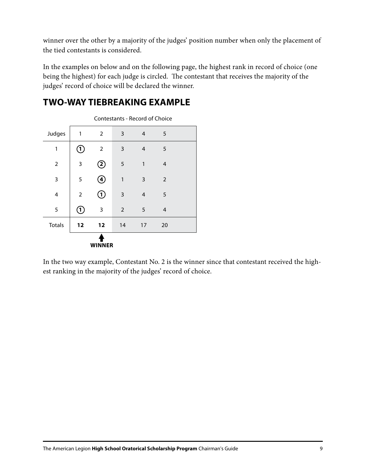winner over the other by a majority of the judges' position number when only the placement of the tied contestants is considered.

In the examples on below and on the following page, the highest rank in record of choice (one being the highest) for each judge is circled. The contestant that receives the majority of the judges' record of choice will be declared the winner.



**TWO-WAY TIEBREAKING EXAMPLE**

In the two way example, Contestant No. 2 is the winner since that contestant received the highest ranking in the majority of the judges' record of choice.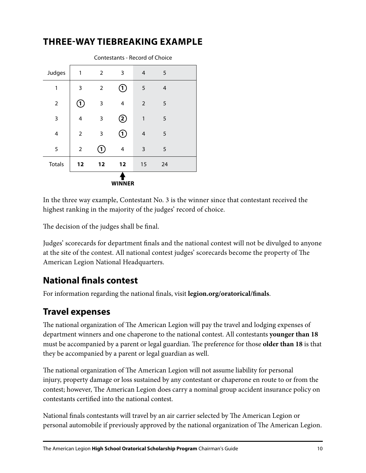

#### **THREE-WAY TIEBREAKING EXAMPLE**

In the three way example, Contestant No. 3 is the winner since that contestant received the highest ranking in the majority of the judges' record of choice.

The decision of the judges shall be final.

Judges' scorecards for department finals and the national contest will not be divulged to anyone at the site of the contest. All national contest judges' scorecards become the property of The American Legion National Headquarters.

#### **National finals contest**

For information regarding the national finals, visit **legion.org/oratorical/finals**.

#### **Travel expenses**

The national organization of The American Legion will pay the travel and lodging expenses of department winners and one chaperone to the national contest. All contestants **younger than 18**  must be accompanied by a parent or legal guardian. The preference for those **older than 18** is that they be accompanied by a parent or legal guardian as well.

The national organization of The American Legion will not assume liability for personal injury, property damage or loss sustained by any contestant or chaperone en route to or from the contest; however, The American Legion does carry a nominal group accident insurance policy on contestants certified into the national contest.

National finals contestants will travel by an air carrier selected by The American Legion or personal automobile if previously approved by the national organization of The American Legion.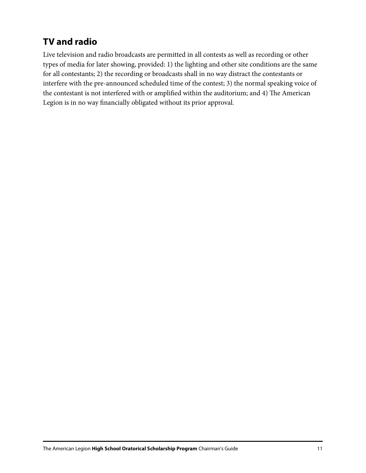#### **TV and radio**

Live television and radio broadcasts are permitted in all contests as well as recording or other types of media for later showing, provided: 1) the lighting and other site conditions are the same for all contestants; 2) the recording or broadcasts shall in no way distract the contestants or interfere with the pre-announced scheduled time of the contest; 3) the normal speaking voice of the contestant is not interfered with or amplified within the auditorium; and 4) The American Legion is in no way financially obligated without its prior approval.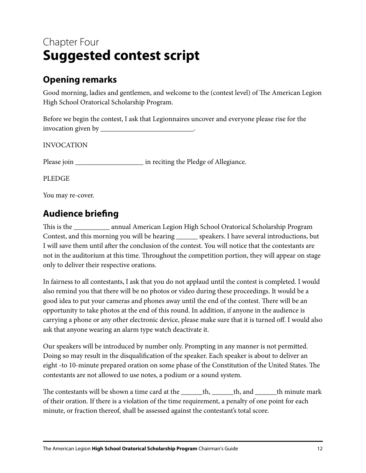# Chapter Four **Suggested contest script**

#### **Opening remarks**

Good morning, ladies and gentlemen, and welcome to the (contest level) of The American Legion High School Oratorical Scholarship Program.

Before we begin the contest, I ask that Legionnaires uncover and everyone please rise for the invocation given by \_\_\_\_\_\_\_\_\_\_\_\_\_\_\_\_\_\_\_\_\_\_\_\_\_\_.

INVOCATION

Please join \_\_\_\_\_\_\_\_\_\_\_\_\_\_\_\_\_\_\_ in reciting the Pledge of Allegiance.

PLEDGE

You may re-cover.

#### **Audience briefing**

This is the \_\_\_\_\_\_\_\_\_\_ annual American Legion High School Oratorical Scholarship Program Contest, and this morning you will be hearing \_\_\_\_\_\_ speakers. I have several introductions, but I will save them until after the conclusion of the contest. You will notice that the contestants are not in the auditorium at this time. Throughout the competition portion, they will appear on stage only to deliver their respective orations.

In fairness to all contestants, I ask that you do not applaud until the contest is completed. I would also remind you that there will be no photos or video during these proceedings. It would be a good idea to put your cameras and phones away until the end of the contest. There will be an opportunity to take photos at the end of this round. In addition, if anyone in the audience is carrying a phone or any other electronic device, please make sure that it is turned off. I would also ask that anyone wearing an alarm type watch deactivate it.

Our speakers will be introduced by number only. Prompting in any manner is not permitted. Doing so may result in the disqualification of the speaker. Each speaker is about to deliver an eight -to 10-minute prepared oration on some phase of the Constitution of the United States. The contestants are not allowed to use notes, a podium or a sound system.

The contestants will be shown a time card at the \_\_\_\_\_\_th, \_\_\_\_\_th, and \_\_\_\_\_\_th minute mark of their oration. If there is a violation of the time requirement, a penalty of one point for each minute, or fraction thereof, shall be assessed against the contestant's total score.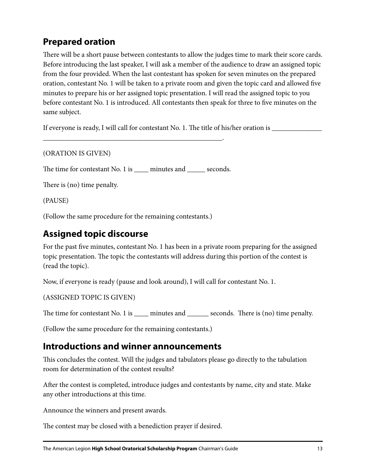#### **Prepared oration**

There will be a short pause between contestants to allow the judges time to mark their score cards. Before introducing the last speaker, I will ask a member of the audience to draw an assigned topic from the four provided. When the last contestant has spoken for seven minutes on the prepared oration, contestant No. 1 will be taken to a private room and given the topic card and allowed five minutes to prepare his or her assigned topic presentation. I will read the assigned topic to you before contestant No. 1 is introduced. All contestants then speak for three to five minutes on the same subject.

If everyone is ready, I will call for contestant No. 1. The title of his/her oration is \_\_\_\_\_\_\_\_\_\_\_\_\_\_\_\_\_\_\_\_\_\_

(ORATION IS GIVEN)

The time for contestant No. 1 is \_\_\_\_\_ minutes and \_\_\_\_\_\_ seconds.

\_\_\_\_\_\_\_\_\_\_\_\_\_\_\_\_\_\_\_\_\_\_\_\_\_\_\_\_\_\_\_\_\_\_\_\_\_\_\_\_\_\_\_\_\_\_\_\_\_\_.

There is (no) time penalty.

(PAUSE)

(Follow the same procedure for the remaining contestants.)

#### **Assigned topic discourse**

For the past five minutes, contestant No. 1 has been in a private room preparing for the assigned topic presentation. The topic the contestants will address during this portion of the contest is (read the topic).

Now, if everyone is ready (pause and look around), I will call for contestant No. 1.

```
(ASSIGNED TOPIC IS GIVEN)
```
The time for contestant No. 1 is \_\_\_\_\_ minutes and \_\_\_\_\_\_\_ seconds. There is (no) time penalty.

(Follow the same procedure for the remaining contestants.)

#### **Introductions and winner announcements**

This concludes the contest. Will the judges and tabulators please go directly to the tabulation room for determination of the contest results?

After the contest is completed, introduce judges and contestants by name, city and state. Make any other introductions at this time.

Announce the winners and present awards.

The contest may be closed with a benediction prayer if desired.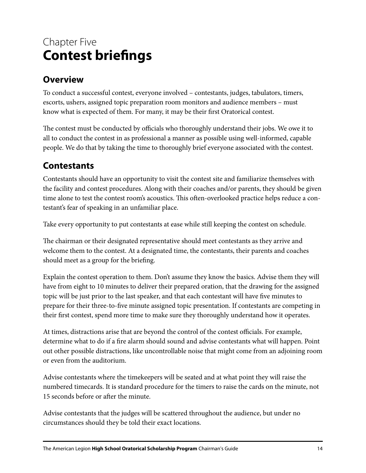# Chapter Five **Contest briefings**

#### **Overview**

To conduct a successful contest, everyone involved – contestants, judges, tabulators, timers, escorts, ushers, assigned topic preparation room monitors and audience members – must know what is expected of them. For many, it may be their first Oratorical contest.

The contest must be conducted by officials who thoroughly understand their jobs. We owe it to all to conduct the contest in as professional a manner as possible using well-informed, capable people. We do that by taking the time to thoroughly brief everyone associated with the contest.

#### **Contestants**

Contestants should have an opportunity to visit the contest site and familiarize themselves with the facility and contest procedures. Along with their coaches and/or parents, they should be given time alone to test the contest room's acoustics. This often-overlooked practice helps reduce a contestant's fear of speaking in an unfamiliar place.

Take every opportunity to put contestants at ease while still keeping the contest on schedule.

The chairman or their designated representative should meet contestants as they arrive and welcome them to the contest. At a designated time, the contestants, their parents and coaches should meet as a group for the briefing.

Explain the contest operation to them. Don't assume they know the basics. Advise them they will have from eight to 10 minutes to deliver their prepared oration, that the drawing for the assigned topic will be just prior to the last speaker, and that each contestant will have five minutes to prepare for their three-to-five minute assigned topic presentation. If contestants are competing in their first contest, spend more time to make sure they thoroughly understand how it operates.

At times, distractions arise that are beyond the control of the contest officials. For example, determine what to do if a fire alarm should sound and advise contestants what will happen. Point out other possible distractions, like uncontrollable noise that might come from an adjoining room or even from the auditorium.

Advise contestants where the timekeepers will be seated and at what point they will raise the numbered timecards. It is standard procedure for the timers to raise the cards on the minute, not 15 seconds before or after the minute.

Advise contestants that the judges will be scattered throughout the audience, but under no circumstances should they be told their exact locations.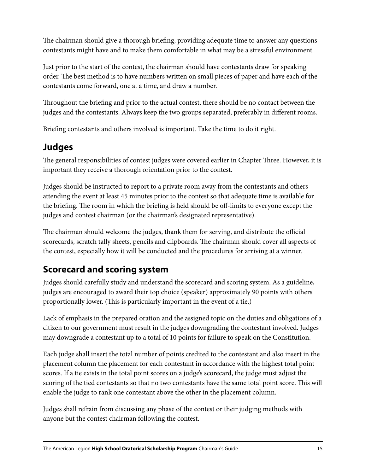The chairman should give a thorough briefing, providing adequate time to answer any questions contestants might have and to make them comfortable in what may be a stressful environment.

Just prior to the start of the contest, the chairman should have contestants draw for speaking order. The best method is to have numbers written on small pieces of paper and have each of the contestants come forward, one at a time, and draw a number.

Throughout the briefing and prior to the actual contest, there should be no contact between the judges and the contestants. Always keep the two groups separated, preferably in different rooms.

Briefing contestants and others involved is important. Take the time to do it right.

#### **Judges**

The general responsibilities of contest judges were covered earlier in Chapter Three. However, it is important they receive a thorough orientation prior to the contest.

Judges should be instructed to report to a private room away from the contestants and others attending the event at least 45 minutes prior to the contest so that adequate time is available for the briefing. The room in which the briefing is held should be off-limits to everyone except the judges and contest chairman (or the chairman's designated representative).

The chairman should welcome the judges, thank them for serving, and distribute the official scorecards, scratch tally sheets, pencils and clipboards. The chairman should cover all aspects of the contest, especially how it will be conducted and the procedures for arriving at a winner.

#### **Scorecard and scoring system**

Judges should carefully study and understand the scorecard and scoring system. As a guideline, judges are encouraged to award their top choice (speaker) approximately 90 points with others proportionally lower. (This is particularly important in the event of a tie.)

Lack of emphasis in the prepared oration and the assigned topic on the duties and obligations of a citizen to our government must result in the judges downgrading the contestant involved. Judges may downgrade a contestant up to a total of 10 points for failure to speak on the Constitution.

Each judge shall insert the total number of points credited to the contestant and also insert in the placement column the placement for each contestant in accordance with the highest total point scores. If a tie exists in the total point scores on a judge's scorecard, the judge must adjust the scoring of the tied contestants so that no two contestants have the same total point score. This will enable the judge to rank one contestant above the other in the placement column.

Judges shall refrain from discussing any phase of the contest or their judging methods with anyone but the contest chairman following the contest.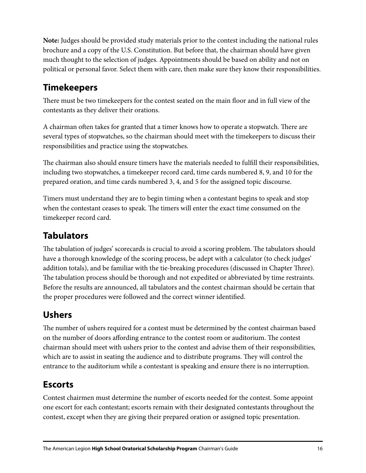**Note:** Judges should be provided study materials prior to the contest including the national rules brochure and a copy of the U.S. Constitution. But before that, the chairman should have given much thought to the selection of judges. Appointments should be based on ability and not on political or personal favor. Select them with care, then make sure they know their responsibilities.

#### **Timekeepers**

There must be two timekeepers for the contest seated on the main floor and in full view of the contestants as they deliver their orations.

A chairman often takes for granted that a timer knows how to operate a stopwatch. There are several types of stopwatches, so the chairman should meet with the timekeepers to discuss their responsibilities and practice using the stopwatches.

The chairman also should ensure timers have the materials needed to fulfill their responsibilities, including two stopwatches, a timekeeper record card, time cards numbered 8, 9, and 10 for the prepared oration, and time cards numbered 3, 4, and 5 for the assigned topic discourse.

Timers must understand they are to begin timing when a contestant begins to speak and stop when the contestant ceases to speak. The timers will enter the exact time consumed on the timekeeper record card.

#### **Tabulators**

The tabulation of judges' scorecards is crucial to avoid a scoring problem. The tabulators should have a thorough knowledge of the scoring process, be adept with a calculator (to check judges' addition totals), and be familiar with the tie-breaking procedures (discussed in Chapter Three). The tabulation process should be thorough and not expedited or abbreviated by time restraints. Before the results are announced, all tabulators and the contest chairman should be certain that the proper procedures were followed and the correct winner identified.

#### **Ushers**

The number of ushers required for a contest must be determined by the contest chairman based on the number of doors affording entrance to the contest room or auditorium. The contest chairman should meet with ushers prior to the contest and advise them of their responsibilities, which are to assist in seating the audience and to distribute programs. They will control the entrance to the auditorium while a contestant is speaking and ensure there is no interruption.

#### **Escorts**

Contest chairmen must determine the number of escorts needed for the contest. Some appoint one escort for each contestant; escorts remain with their designated contestants throughout the contest, except when they are giving their prepared oration or assigned topic presentation.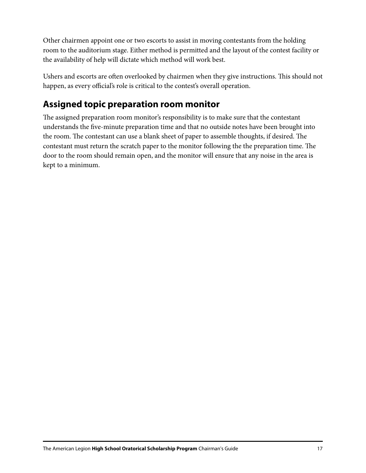Other chairmen appoint one or two escorts to assist in moving contestants from the holding room to the auditorium stage. Either method is permitted and the layout of the contest facility or the availability of help will dictate which method will work best.

Ushers and escorts are often overlooked by chairmen when they give instructions. This should not happen, as every official's role is critical to the contest's overall operation.

#### **Assigned topic preparation room monitor**

The assigned preparation room monitor's responsibility is to make sure that the contestant understands the five-minute preparation time and that no outside notes have been brought into the room. The contestant can use a blank sheet of paper to assemble thoughts, if desired. The contestant must return the scratch paper to the monitor following the the preparation time. The door to the room should remain open, and the monitor will ensure that any noise in the area is kept to a minimum.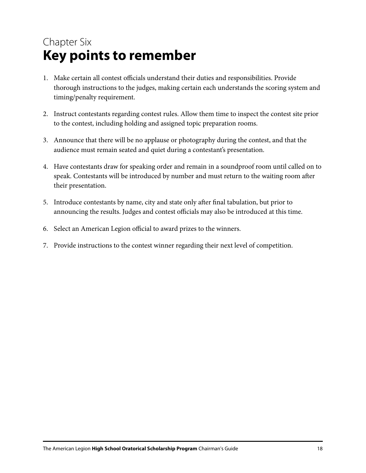# Chapter Six **Key points to remember**

- 1. Make certain all contest officials understand their duties and responsibilities. Provide thorough instructions to the judges, making certain each understands the scoring system and timing/penalty requirement.
- 2. Instruct contestants regarding contest rules. Allow them time to inspect the contest site prior to the contest, including holding and assigned topic preparation rooms.
- 3. Announce that there will be no applause or photography during the contest, and that the audience must remain seated and quiet during a contestant's presentation.
- 4. Have contestants draw for speaking order and remain in a soundproof room until called on to speak. Contestants will be introduced by number and must return to the waiting room after their presentation.
- 5. Introduce contestants by name, city and state only after final tabulation, but prior to announcing the results. Judges and contest officials may also be introduced at this time.
- 6. Select an American Legion official to award prizes to the winners.
- 7. Provide instructions to the contest winner regarding their next level of competition.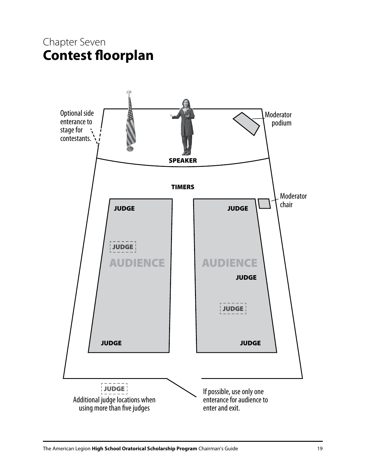### Chapter Seven **Contest floorplan**

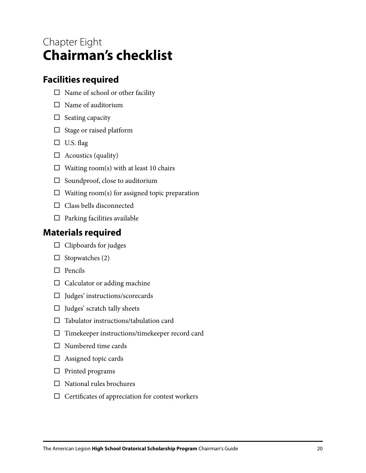### Chapter Eight **Chairman's checklist**

#### **Facilities required**

- $\square$  Name of school or other facility
- $\Box$  Name of auditorium
- $\Box$  Seating capacity
- $\Box$  Stage or raised platform
- $\Box$  U.S. flag
- $\Box$  Acoustics (quality)
- $\Box$  Waiting room(s) with at least 10 chairs
- $\square$  Soundproof, close to auditorium
- $\Box$  Waiting room(s) for assigned topic preparation
- $\Box$  Class bells disconnected
- $\Box$  Parking facilities available

#### **Materials required**

- $\Box$  Clipboards for judges
- $\Box$  Stopwatches (2)
- $\Box$  Pencils
- $\Box$  Calculator or adding machine
- $\Box$  Judges' instructions/scorecards
- $\Box$  Judges' scratch tally sheets
- $\square$  Tabulator instructions/tabulation card
- Timekeeper instructions/timekeeper record card
- Numbered time cards
- $\Box$  Assigned topic cards
- $\Box$  Printed programs
- $\Box$  National rules brochures
- $\Box$  Certificates of appreciation for contest workers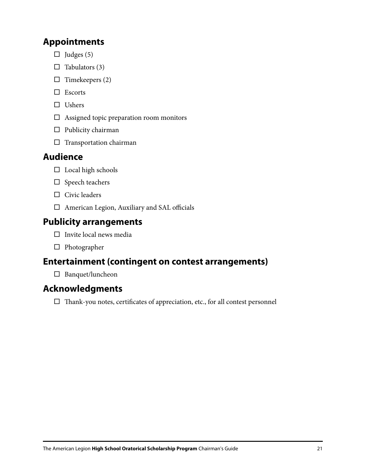#### **Appointments**

- $\Box$  Judges (5)
- $\Box$  Tabulators (3)
- $\Box$  Timekeepers (2)
- □ Escorts
- $\square$  Ushers
- $\Box$  Assigned topic preparation room monitors
- $\square$  Publicity chairman
- $\square$  Transportation chairman

#### **Audience**

- $\square$  Local high schools
- $\square$  Speech teachers
- $\Box$  Civic leaders
- American Legion, Auxiliary and SAL officials

#### **Publicity arrangements**

- $\Box$  Invite local news media
- $\square$  Photographer

#### **Entertainment (contingent on contest arrangements)**

 $\square$  Banquet/luncheon

#### **Acknowledgments**

 $\Box$  Thank-you notes, certificates of appreciation, etc., for all contest personnel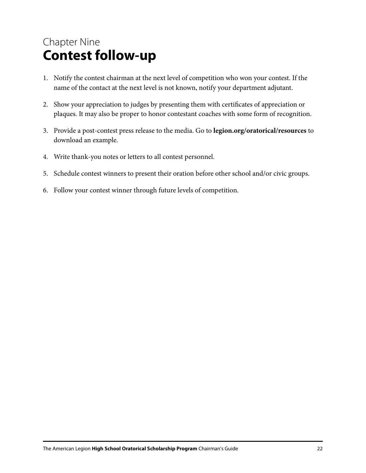# Chapter Nine **Contest follow-up**

- 1. Notify the contest chairman at the next level of competition who won your contest. If the name of the contact at the next level is not known, notify your department adjutant.
- 2. Show your appreciation to judges by presenting them with certificates of appreciation or plaques. It may also be proper to honor contestant coaches with some form of recognition.
- 3. Provide a post-contest press release to the media. Go to **legion.org/oratorical/resources** to download an example.
- 4. Write thank-you notes or letters to all contest personnel.
- 5. Schedule contest winners to present their oration before other school and/or civic groups.
- 6. Follow your contest winner through future levels of competition.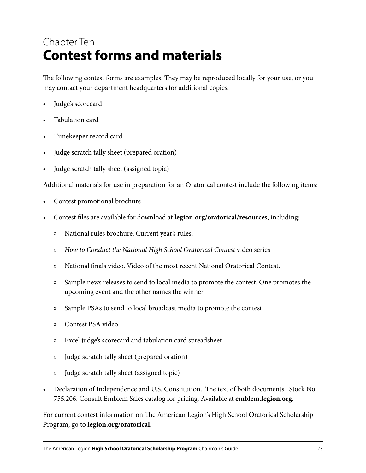# Chapter Ten **Contest forms and materials**

The following contest forms are examples. They may be reproduced locally for your use, or you may contact your department headquarters for additional copies.

- Judge's scorecard
- Tabulation card
- Timekeeper record card
- Judge scratch tally sheet (prepared oration)
- Judge scratch tally sheet (assigned topic)

Additional materials for use in preparation for an Oratorical contest include the following items:

- Contest promotional brochure
- Contest files are available for download at **legion.org/oratorical/resources**, including:
	- » National rules brochure. Current year's rules.
	- » *How to Conduct the National High School Oratorical Contest* video series
	- » National finals video. Video of the most recent National Oratorical Contest.
	- » Sample news releases to send to local media to promote the contest. One promotes the upcoming event and the other names the winner.
	- » Sample PSAs to send to local broadcast media to promote the contest
	- » Contest PSA video
	- » Excel judge's scorecard and tabulation card spreadsheet
	- » Judge scratch tally sheet (prepared oration)
	- » Judge scratch tally sheet (assigned topic)
- Declaration of Independence and U.S. Constitution. The text of both documents. Stock No. 755.206. Consult Emblem Sales catalog for pricing. Available at **emblem.legion.org**.

For current contest information on The American Legion's High School Oratorical Scholarship Program, go to **legion.org/oratorical**.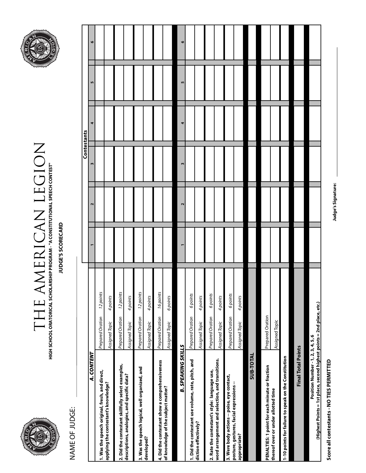

# $\begin{array}{ll} \text{THEOREM} & \text{The image shows the program of the image.} \\ \text{The image shows the program of the image.} \\ \text{The image shows the program of the image.} \\ \text{The image shows the program of the image.} \\ \text{The image shows the program of the image.} \\ \text{The image shows the program of the image.} \\ \text{The image shows the program of the image.} \\ \text{The image shows the program of the image.} \\ \text{The image shows the program of the image.} \\ \text{The image shows the program of the image.} \\ \text{The image shows the program of the image.} \\ \text{The image shows the program of the image.} \\ \text{The image shows the program of the image.} \\ \text{The image shows the program of the image.} \\ \text{The image shows the program of$ THE AMERICAN LEGION**HIGH SCHOOL ORATORICAL SCHOLARSHIP PROGRAM - "A CONSTITUTIONAL SPEECH CONTEST"**



NAME OF JUDGE: NAME OF JUDGE:

|                                                                                                             |                               |        | Contestants |   |           |    |
|-------------------------------------------------------------------------------------------------------------|-------------------------------|--------|-------------|---|-----------|----|
| <b>A. CONTENT</b>                                                                                           |                               | $\sim$ | m           | 4 | <b>In</b> | ۱O |
| 1. Was the speech original, fresh, and direct,                                                              | 12 points<br>Prepared Oration |        |             |   |           |    |
| applying the contestant's knowledge?                                                                        | 4 points<br>Assigned Topic    |        |             |   |           |    |
| 2. Did the contestant skillfully select examples,                                                           | 12 points<br>Prepared Oration |        |             |   |           |    |
| descriptions, analogies, and specific data?                                                                 | 4 points<br>Assigned Topic    |        |             |   |           |    |
| 3. Was the speech logical, well organized, and                                                              | 12 points<br>Prepared Oration |        |             |   |           |    |
| developed?                                                                                                  | 4 points<br>Assigned Topic    |        |             |   |           |    |
| 4. Did the contestant show a comprehensiveness                                                              | 16 points<br>Prepared Oration |        |             |   |           |    |
| of knowledge of the subject matter?                                                                         | 6 points<br>Assigned Topic    |        |             |   |           |    |
| <b>B. SPEAKING SKILLS</b>                                                                                   |                               |        | m           |   | m         | ۱٥ |
| 1. Did the contestant use volume, rate, pitch, and                                                          | 6 points<br>Prepared Oration  |        |             |   |           |    |
| diction effectively?                                                                                        | 4 points<br>Assigned Topic    |        |             |   |           |    |
| 2. Rate the contestant's style: language use,                                                               | 6 points<br>Prepared Oration  |        |             |   |           |    |
| word arrangement and selection, and transitions.                                                            | 4 points<br>Assigned Topic    |        |             |   |           |    |
| 3. Were body actions -- poise, eye contact,<br>posture, gestures, facial expressions --                     | 6 points<br>Prepared Oration  |        |             |   |           |    |
| appropriate?                                                                                                | 4 points<br>Assigned Topic    |        |             |   |           |    |
| SUB-TOTAL                                                                                                   |                               |        |             |   |           |    |
| PENALTIES: 1 point for each minute or fraction                                                              | Prepared Oration              |        |             |   |           |    |
| thereof over or under allotted time                                                                         | Assigned Topic                |        |             |   |           |    |
| 1-10 points for failure to speak on the Constitution                                                        |                               |        |             |   |           |    |
| <b>Final Total Points</b>                                                                                   |                               |        |             |   |           |    |
|                                                                                                             |                               |        |             |   |           |    |
| (Highest Points = 1st place, second highest points = 2nd place, etc.)<br>Position Number - 1, 2, 3, 4, 5, 6 |                               |        |             |   |           |    |

Judge's Signature: **Judge's Signature:** 

Score all contestants - NO TIES PERMITTED **Score all contestants - NO TIES PERMITTED**

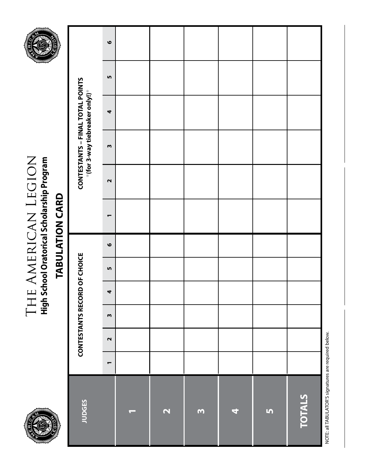

# THE AMERICAN LEGION<br>High School Oratorical Scholarship Program The American Legion **High School Oratorical Scholarship Program**



# **TABULATION CARD TABULATION CARD**

| JUDGES                  |                | CONTESTANTS RECORD OF CHOICE |              |                      |           |           |                          |                   |              | CONTESTANTS – FINAL TOTAL POINTS<br>*(for 3-way tiebreaker only!)* |           |           |
|-------------------------|----------------|------------------------------|--------------|----------------------|-----------|-----------|--------------------------|-------------------|--------------|--------------------------------------------------------------------|-----------|-----------|
|                         | $\blacksquare$ | $\mathbf{\Omega}$            | $\mathsf{m}$ | $\blacktriangleleft$ | <b>In</b> | $\bullet$ | $\overline{\phantom{0}}$ | $\mathbf{\Omega}$ | $\mathsf{m}$ | $\blacktriangleleft$                                               | <u>In</u> | $\bullet$ |
| $\sim$                  |                |                              |              |                      |           |           |                          |                   |              |                                                                    |           |           |
| $\overline{\mathbf{C}}$ |                |                              |              |                      |           |           |                          |                   |              |                                                                    |           |           |
| $\mathbf{\Omega}$       |                |                              |              |                      |           |           |                          |                   |              |                                                                    |           |           |
| 4                       |                |                              |              |                      |           |           |                          |                   |              |                                                                    |           |           |
| S                       |                |                              |              |                      |           |           |                          |                   |              |                                                                    |           |           |
| TOTALS                  |                |                              |              |                      |           |           |                          |                   |              |                                                                    |           |           |

NOTE: all TABULATOR'S signatures are required below. NOTE: all TABULATOR'S signatures are required below.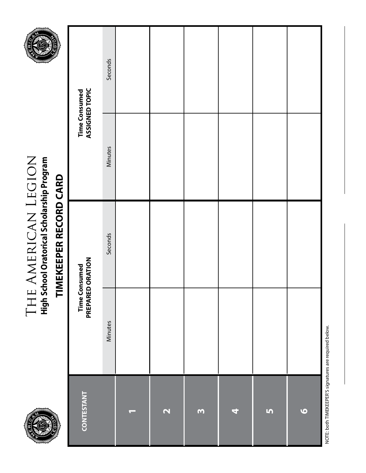

# THE AMERICAN LEGION<br>High School Oratorical Scholarship Program The American Legion **High School Oratorical Scholarship Program**



# TIMEKEEPER RECORD CARD **TIMEKEEPER RECORD CARD**

| <b>CONTESTANT</b>        |         | Time Consumed<br>PREPARED ORATION | Time Consumed<br>ASSIGNED TOPIC |         |
|--------------------------|---------|-----------------------------------|---------------------------------|---------|
|                          | Minutes | <b>Seconds</b>                    | Minutes                         | Seconds |
| $\overline{\phantom{0}}$ |         |                                   |                                 |         |
| $\overline{\mathbf{C}}$  |         |                                   |                                 |         |
| m                        |         |                                   |                                 |         |
| 4                        |         |                                   |                                 |         |
| S                        |         |                                   |                                 |         |
| $\bullet$                |         |                                   |                                 |         |

NOTE: both TIMEKEEPER'S signatures are required below. NOTE: both TIMEKEEPER'S signatures are required below.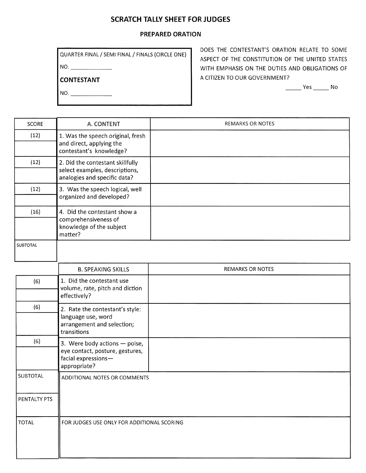#### **SCRATCH TALLY SHEET FOR JUDGES**

#### **PREPARED ORATION**

 $NO.$ 

**CONTESTANT** 

 $NO.$ 

DOES THE CONTESTANT'S ORATION RELATE TO SOME ASPECT OF THE CONSTITUTION OF THE UNITED STATES WITH EMPHASIS ON THE DUTIES AND OBLIGATIONS OF A CITIZEN TO OUR GOVERNMENT?

 $\frac{1}{\sqrt{1-\frac{1}{2}}}$  Yes  $\frac{1}{\sqrt{1-\frac{1}{2}}}$  No

| SCORE           | A. CONTENT                                                                                              | <b>REMARKS OR NOTES</b> |
|-----------------|---------------------------------------------------------------------------------------------------------|-------------------------|
| (12)            | 1. Was the speech original, fresh<br>and direct, applying the<br>contestant's knowledge?                |                         |
| (12)            | 2. Did the contestant skillfully<br>select examples, descriptions,<br>analogies and specific data?      |                         |
| (12)            | 3. Was the speech logical, well<br>organized and developed?                                             |                         |
| (16)            | 4. Did the contestant show a<br>comprehensiveness of<br>knowledge of the subject<br>matter?             |                         |
| <b>SUBTOTAL</b> |                                                                                                         |                         |
|                 | <b>B. SPEAKING SKILLS</b>                                                                               | <b>REMARKS OR NOTES</b> |
| (6)             | 1. Did the contestant use<br>volume, rate, pitch and diction<br>effectively?                            |                         |
| (6)             | 2. Rate the contestant's style:<br>language use, word<br>arrangement and selection;<br>transitions      |                         |
| (6)             | 3. Were body actions - poise,<br>eye contact, posture, gestures,<br>facial expressions-<br>appropriate? |                         |
| SUBTOTAL        | ADDITIONAL NOTES OR COMMENTS                                                                            |                         |
| PENTALTY PTS    |                                                                                                         |                         |
| <b>TOTAL</b>    | FOR JUDGES USE ONLY FOR ADDITIONAL SCORING                                                              |                         |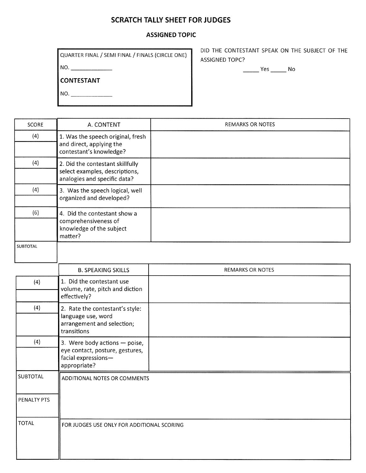#### **SCRATCH TALLY SHEET FOR JUDGES**

#### **ASSIGNED TOPIC**

| QUARTER FINAL / SEMI FINAL / FINALS (CIRCLE ONE) | DID THE CONTESTANT SPEAK ON THE SUBJECT OF THE<br><b>ASSIGNED TOPC?</b> |
|--------------------------------------------------|-------------------------------------------------------------------------|
| NO.                                              | Yes<br>No                                                               |
| I CONTESTANT                                     |                                                                         |
| NO.                                              |                                                                         |

| <b>SCORE</b>    | A. CONTENT                                                                                         | <b>REMARKS OR NOTES</b> |
|-----------------|----------------------------------------------------------------------------------------------------|-------------------------|
| (4)             | 1. Was the speech original, fresh<br>and direct, applying the<br>contestant's knowledge?           |                         |
| (4)             | 2. Did the contestant skillfully<br>select examples, descriptions,<br>analogies and specific data? |                         |
| (4)             | 3. Was the speech logical, well<br>organized and developed?                                        |                         |
| (6)             | 4. Did the contestant show a<br>comprehensiveness of<br>knowledge of the subject<br>matter?        |                         |
| <b>SUBTOTAL</b> |                                                                                                    |                         |
|                 | <b>B. SPEAKING SKILLS</b>                                                                          | <b>REMARKS OR NOTES</b> |
| (4)             | 1. Did the contestant use<br>volume, rate, pitch and diction<br>effectively?                       |                         |
| (4)             | 2. Rate the contestant's style:<br>language use, word<br>arrangement and selection;<br>transitions |                         |

|                 | arrangement and selection;<br>transitions                                                               |
|-----------------|---------------------------------------------------------------------------------------------------------|
| (4)             | 3. Were body actions - poise,<br>eye contact, posture, gestures,<br>facial expressions-<br>appropriate? |
| <b>SUBTOTAL</b> | ADDITIONAL NOTES OR COMMENTS                                                                            |
| PENALTY PTS     |                                                                                                         |
| <b>TOTAL</b>    | FOR JUDGES USE ONLY FOR ADDITIONAL SCORING                                                              |